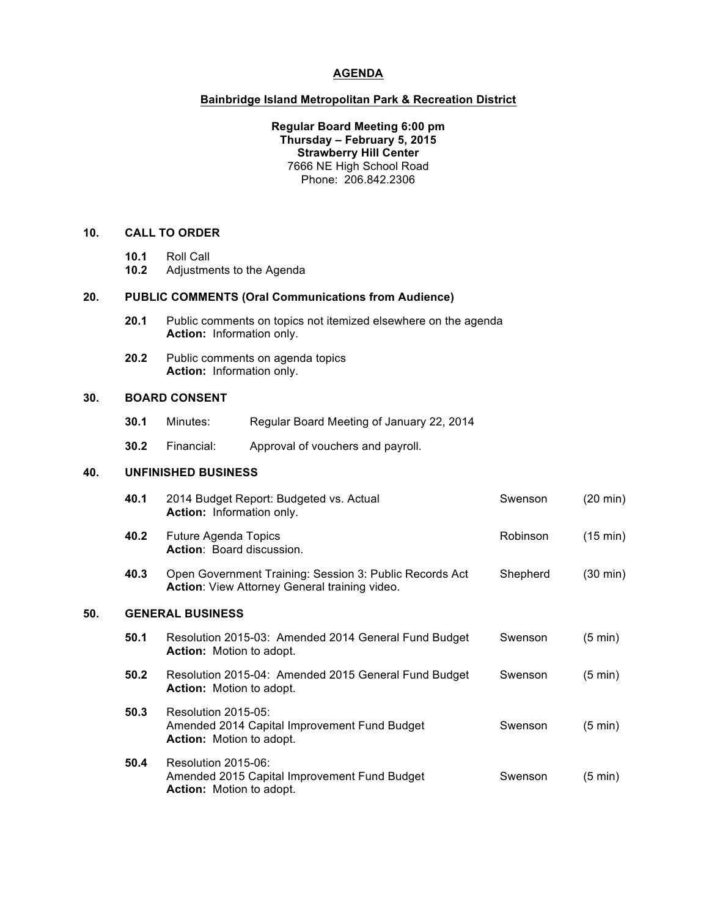### **AGENDA**

### **Bainbridge Island Metropolitan Park & Recreation District**

**Regular Board Meeting 6:00 pm Thursday – February 5, 2015 Strawberry Hill Center** 7666 NE High School Road Phone: 206.842.2306

# **10. CALL TO ORDER**

- **10.1** Roll Call
- **10.2** Adjustments to the Agenda

## **20. PUBLIC COMMENTS (Oral Communications from Audience)**

- **20.1** Public comments on topics not itemized elsewhere on the agenda **Action:** Information only.
- **20.2** Public comments on agenda topics **Action:** Information only.

### **30. BOARD CONSENT**

- **30.1** Minutes: Regular Board Meeting of January 22, 2014
- **30.2** Financial: Approval of vouchers and payroll.

## **40. UNFINISHED BUSINESS**

|     | 40.1                    | 2014 Budget Report: Budgeted vs. Actual<br><b>Action:</b> Information only.                              | Swenson  | $(20 \text{ min})$ |
|-----|-------------------------|----------------------------------------------------------------------------------------------------------|----------|--------------------|
|     | 40.2                    | <b>Future Agenda Topics</b><br>Action: Board discussion.                                                 | Robinson | (15 min)           |
|     | 40.3                    | Open Government Training: Session 3: Public Records Act<br>Action: View Attorney General training video. | Shepherd | $(30 \text{ min})$ |
| 50. | <b>GENERAL BUSINESS</b> |                                                                                                          |          |                    |
|     | 50.1                    | Resolution 2015-03: Amended 2014 General Fund Budget<br><b>Action:</b> Motion to adopt.                  | Swenson  | $(5 \text{ min})$  |
|     | 50.2                    | Resolution 2015-04: Amended 2015 General Fund Budget<br><b>Action:</b> Motion to adopt.                  | Swenson  | $(5 \text{ min})$  |
|     | 50.3                    | Resolution 2015-05:<br>Amended 2014 Capital Improvement Fund Budget<br><b>Action:</b> Motion to adopt.   | Swenson  | $(5 \text{ min})$  |
|     | 50.4                    | Resolution 2015-06:<br>Amended 2015 Capital Improvement Fund Budget<br><b>Action:</b> Motion to adopt.   | Swenson  | $(5 \text{ min})$  |